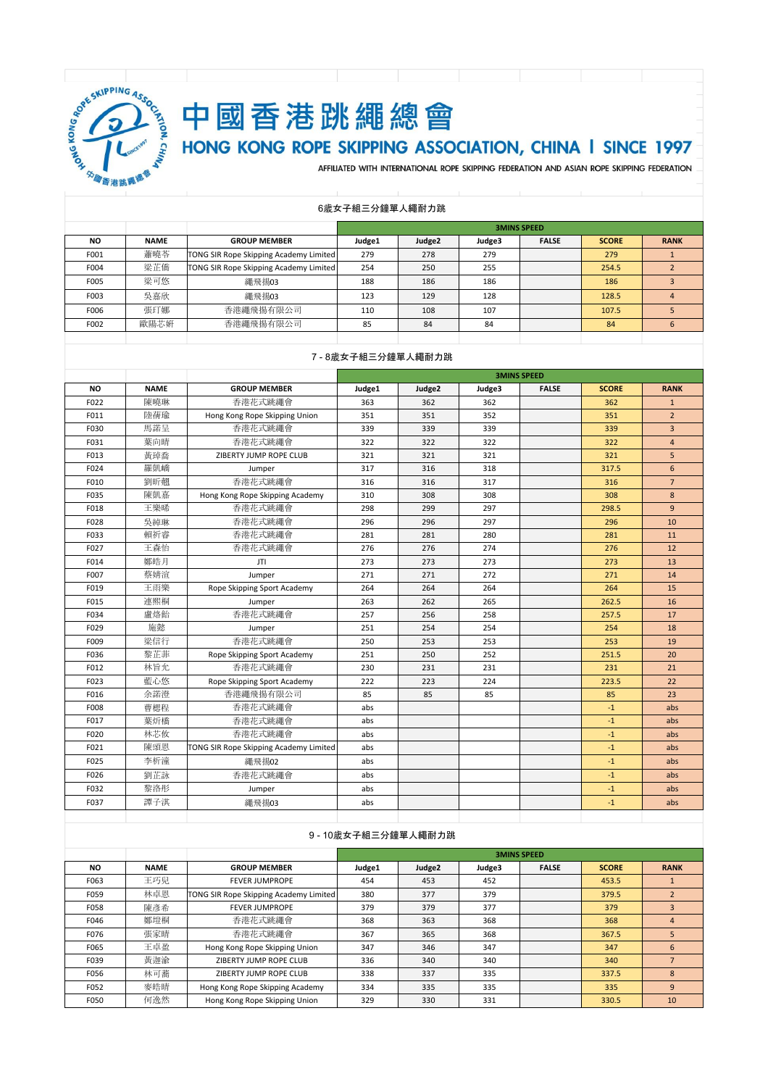

# 中國香港跳繩總會

# HONG KONG ROPE SKIPPING ASSOCIATION, CHINA I SINCE 1997

AFFILIATED WITH INTERNATIONAL ROPE SKIPPING FEDERATION AND ASIAN ROPE SKIPPING FEDERATION

|           |             |                                        |        | <b>3MINS SPEED</b> |        |              |              |             |  |  |
|-----------|-------------|----------------------------------------|--------|--------------------|--------|--------------|--------------|-------------|--|--|
| <b>NO</b> | <b>NAME</b> | <b>GROUP MEMBER</b>                    | Judge1 | Judge <sub>2</sub> | Judge3 | <b>FALSE</b> | <b>SCORE</b> | <b>RANK</b> |  |  |
| F001      | 蕭曉苓         | TONG SIR Rope Skipping Academy Limited | 279    | 278                | 279    |              | 279          |             |  |  |
| F004      | 梁芷僑         | TONG SIR Rope Skipping Academy Limited | 254    | 250                | 255    |              | 254.5        |             |  |  |
| F005      | 梁可悠         | 繩飛揚03                                  | 188    | 186                | 186    |              | 186          |             |  |  |
| F003      | 吳嘉欣         | 繩飛揚03                                  | 123    | 129                | 128    |              | 128.5        | 4           |  |  |
| F006      | 張玎娜         | 香港繩飛揚有限公司                              | 110    | 108                | 107    |              | 107.5        |             |  |  |
| F002      | 歐陽芯妍        | 香港繩飛揚有限公司                              | 85     | 84                 | 84     |              | 84           | 6           |  |  |
|           |             |                                        |        |                    |        |              |              |             |  |  |

#### 6歲女子組三分鐘單人繩耐力跳

#### 7 - 8歲女子組三分鐘單人繩耐力跳

|           |             |                                        |        |        | <b>3MINS SPEED</b> |              |              |                |
|-----------|-------------|----------------------------------------|--------|--------|--------------------|--------------|--------------|----------------|
| <b>NO</b> | <b>NAME</b> | <b>GROUP MEMBER</b>                    | Judge1 | Judge2 | Judge3             | <b>FALSE</b> | <b>SCORE</b> | <b>RANK</b>    |
| F022      | 陳曉琳         | 香港花式跳繩會                                | 363    | 362    | 362                |              | 362          | $\mathbf{1}$   |
| F011      | 陸蒨瑜         | Hong Kong Rope Skipping Union          | 351    | 351    | 352                |              | 351          | $\overline{2}$ |
| F030      | 馬諾呈         | 香港花式跳繩會                                | 339    | 339    | 339                |              | 339          | $\overline{3}$ |
| F031      | 葉向晴         | 香港花式跳繩會                                | 322    | 322    | 322                |              | 322          | $\overline{4}$ |
| F013      | 黃琸喬         | ZIBERTY JUMP ROPE CLUB                 | 321    | 321    | 321                |              | 321          | 5              |
| F024      | 羅凱嶠         | Jumper                                 | 317    | 316    | 318                |              | 317.5        | 6              |
| F010      | 劉昕翿         | 香港花式跳繩會                                | 316    | 316    | 317                |              | 316          | $\overline{7}$ |
| F035      | 陳凱嘉         | Hong Kong Rope Skipping Academy        | 310    | 308    | 308                |              | 308          | 8              |
| F018      | 王樂晞         | 香港花式跳繩會                                | 298    | 299    | 297                |              | 298.5        | $\overline{9}$ |
| F028      | 吳綽琳         | 香港花式跳繩會                                | 296    | 296    | 297                |              | 296          | 10             |
| F033      | 賴祈睿         | 香港花式跳繩會                                | 281    | 281    | 280                |              | 281          | 11             |
| F027      | 王森怡         | 香港花式跳繩會                                | 276    | 276    | 274                |              | 276          | 12             |
| F014      | 鄭皓月         | JTI                                    | 273    | 273    | 273                |              | 273          | 13             |
| F007      | 蔡婧渲         | Jumper                                 | 271    | 271    | 272                |              | 271          | 14             |
| F019      | 王雨樂         | Rope Skipping Sport Academy            | 264    | 264    | 264                |              | 264          | 15             |
| F015      | 連熙桐         | Jumper                                 | 263    | 262    | 265                |              | 262.5        | 16             |
| F034      | 盧烙飴         | 香港花式跳繩會                                | 257    | 256    | 258                |              | 257.5        | 17             |
| F029      | 施懿          | Jumper                                 | 251    | 254    | 254                |              | 254          | 18             |
| F009      | 梁信行         | 香港花式跳繩會                                | 250    | 253    | 253                |              | 253          | 19             |
| F036      | 黎芷菲         | Rope Skipping Sport Academy            | 251    | 250    | 252                |              | 251.5        | 20             |
| F012      | 林旨允         | 香港花式跳繩會                                | 230    | 231    | 231                |              | 231          | 21             |
| F023      | 藍心悠         | Rope Skipping Sport Academy            | 222    | 223    | 224                |              | 223.5        | 22             |
| F016      | 余諾澄         | 香港繩飛揚有限公司                              | 85     | 85     | 85                 |              | 85           | 23             |
| F008      | 曹楒程         | 香港花式跳繩會                                | abs    |        |                    |              | $-1$         | abs            |
| F017      | 葉炘橋         | 香港花式跳繩會                                | abs    |        |                    |              | $-1$         | abs            |
| F020      | 林芯攸         | 香港花式跳繩會                                | abs    |        |                    |              | $-1$         | abs            |
| F021      | 陳頌恩         | TONG SIR Rope Skipping Academy Limited | abs    |        |                    |              | $-1$         | abs            |
| F025      | 李析潼         | 繩飛揚02                                  | abs    |        |                    |              | $-1$         | abs            |
| F026      | 劉芷詠         | 香港花式跳繩會                                | abs    |        |                    |              | $-1$         | abs            |
| F032      | 黎洛彤         | Jumper                                 | abs    |        |                    |              | $-1$         | abs            |
| F037      | 譚子淇         | 繩飛揚03                                  | abs    |        |                    |              | $-1$         | abs            |
|           |             |                                        |        |        |                    |              |              |                |

#### 9 - 10歲女子組三分鐘單人繩耐力跳

|      |             |                                               |        | <b>3MINS SPEED</b> |        |              |              |                |  |  |
|------|-------------|-----------------------------------------------|--------|--------------------|--------|--------------|--------------|----------------|--|--|
| NO.  | <b>NAME</b> | <b>GROUP MEMBER</b>                           | Judge1 | Judge <sub>2</sub> | Judge3 | <b>FALSE</b> | <b>SCORE</b> | <b>RANK</b>    |  |  |
| F063 | 王巧兒         | <b>FEVER JUMPROPE</b>                         | 454    | 453                | 452    |              | 453.5        |                |  |  |
| F059 | 林卓恩         | <b>TONG SIR Rope Skipping Academy Limited</b> | 380    | 377                | 379    |              | 379.5        | $\overline{2}$ |  |  |
| F058 | 陳彥希         | <b>FEVER JUMPROPE</b>                         | 379    | 379                | 377    |              | 379          |                |  |  |
| F046 | 鄭塏桐         | 香港花式跳繩會                                       | 368    | 363                | 368    |              | 368          | $\overline{4}$ |  |  |
| F076 | 張家晴         | 香港花式跳繩會                                       | 367    | 365                | 368    |              | 367.5        | 5              |  |  |
| F065 | 王卓盈         | Hong Kong Rope Skipping Union                 | 347    | 346                | 347    |              | 347          | 6              |  |  |
| F039 | 黄迦渝         | ZIBERTY JUMP ROPE CLUB                        | 336    | 340                | 340    |              | 340          |                |  |  |
| F056 | 林可蕎         | ZIBERTY JUMP ROPE CLUB                        | 338    | 337                | 335    |              | 337.5        | 8              |  |  |
| F052 | 麥皓晴         | Hong Kong Rope Skipping Academy               | 334    | 335                | 335    |              | 335          | 9              |  |  |
| F050 | 何逸然         | Hong Kong Rope Skipping Union                 | 329    | 330                | 331    |              | 330.5        | 10             |  |  |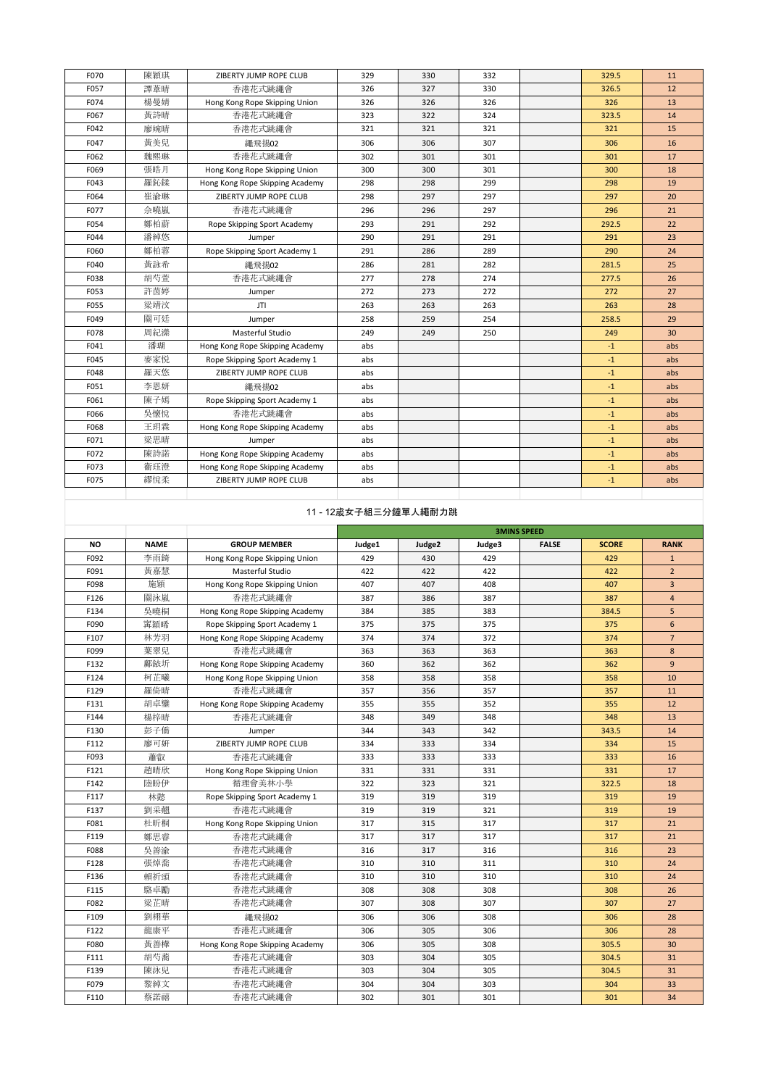| F070      | 陳穎琪         | ZIBERTY JUMP ROPE CLUB          | 329    | 330                  | 332    |                    | 329.5        | 11             |
|-----------|-------------|---------------------------------|--------|----------------------|--------|--------------------|--------------|----------------|
| F057      | 譚葦晴         | 香港花式跳繩會                         | 326    | 327                  | 330    |                    | 326.5        | 12             |
| F074      | 楊曼婧         | Hong Kong Rope Skipping Union   | 326    | 326                  | 326    |                    | 326          | 13             |
| F067      | 黃詩晴         | 香港花式跳繩會                         | 323    | 322                  | 324    |                    | 323.5        | 14             |
| F042      | 廖婉晴         | 香港花式跳繩會                         | 321    | 321                  | 321    |                    | 321          | 15             |
| F047      | 黄美兒         | 繩飛揚02                           | 306    | 306                  | 307    |                    | 306          | 16             |
| F062      | 魏熙琳         | 香港花式跳繩會                         | 302    | 301                  | 301    |                    | 301          | 17             |
| F069      | 張皓月         | Hong Kong Rope Skipping Union   | 300    | 300                  | 301    |                    | 300          | 18             |
| F043      | 羅鈊鍒         | Hong Kong Rope Skipping Academy | 298    | 298                  | 299    |                    | 298          | 19             |
| F064      | 崔渝琳         | ZIBERTY JUMP ROPE CLUB          | 298    | 297                  | 297    |                    | 297          | 20             |
| F077      | 佘曉嵐         | 香港花式跳繩會                         | 296    | 296                  | 297    |                    | 296          | 21             |
| F054      | 鄭柏蔚         | Rope Skipping Sport Academy     | 293    | 291                  | 292    |                    | 292.5        | 22             |
| F044      | 潘綽悠         | Jumper                          | 290    | 291                  | 291    |                    | 291          | 23             |
| F060      | 鄭柏蓉         | Rope Skipping Sport Academy 1   | 291    | 286                  | 289    |                    | 290          | 24             |
| F040      | 黃詠希         | 繩飛揚02                           | 286    | 281                  | 282    |                    | 281.5        | 25             |
| F038      | 胡芍萱         | 香港花式跳繩會                         | 277    | 278                  | 274    |                    | 277.5        | 26             |
| F053      | 許茵婷         | Jumper                          | 272    | 273                  | 272    |                    | 272          | 27             |
| F055      | 梁靖汶         | JTI                             | 263    | 263                  | 263    |                    | 263          | 28             |
| F049      | 關可廷         | Jumper                          | 258    | 259                  | 254    |                    | 258.5        | 29             |
| F078      | 周紀潫         | Masterful Studio                | 249    | 249                  | 250    |                    | 249          | 30             |
| F041      | 潘瑚          | Hong Kong Rope Skipping Academy | abs    |                      |        |                    | $-1$         | abs            |
| F045      | 麥家悦         | Rope Skipping Sport Academy 1   | abs    |                      |        |                    | $-1$         | abs            |
| F048      | 羅天悠         | ZIBERTY JUMP ROPE CLUB          | abs    |                      |        |                    | $-1$         | abs            |
| F051      | 李恩妍         | 繩飛揚02                           | abs    |                      |        |                    | $-1$         | abs            |
| F061      | 陳子嫣         | Rope Skipping Sport Academy 1   | abs    |                      |        |                    | $-1$         | abs            |
| F066      | 吳懷悅         | 香港花式跳繩會                         | abs    |                      |        |                    | $^{\rm -1}$  | abs            |
| F068      | 王玥霖         | Hong Kong Rope Skipping Academy | abs    |                      |        |                    | $-1$         | abs            |
| F071      | 梁思晴         | Jumper                          | abs    |                      |        |                    | $-1$         | abs            |
| F072      | 陳詩諾         | Hong Kong Rope Skipping Academy | abs    |                      |        |                    | $-1$         | abs            |
| F073      | 衞珏澄         | Hong Kong Rope Skipping Academy | abs    |                      |        |                    | $-1$         | abs            |
| F075      | 繆悅柔         | ZIBERTY JUMP ROPE CLUB          | abs    |                      |        |                    | $-1$         | abs            |
|           |             |                                 |        |                      |        |                    |              |                |
|           |             |                                 |        | 11 - 12歲女子組三分鐘單人繩耐力跳 |        |                    |              |                |
|           |             |                                 |        |                      |        | <b>3MINS SPEED</b> |              |                |
| <b>NO</b> | <b>NAME</b> | <b>GROUP MEMBER</b>             | Judge1 | Judge2               | Judge3 | <b>FALSE</b>       | <b>SCORE</b> | <b>RANK</b>    |
| F092      | 李雨錡         | Hong Kong Rope Skipping Union   | 429    | 430                  | 429    |                    | 429          | $\mathbf{1}$   |
| F091      | 黃嘉慧         | Masterful Studio                | 422    | 422                  | 422    |                    | 422          | $\overline{2}$ |
| F098      | 施穎          | Hong Kong Rope Skipping Union   | 407    | 407                  | 408    |                    | 407          | $\overline{3}$ |
| F126      | 關泳嵐         | 香港花式跳繩會                         | 387    | 386                  | 387    |                    | 387          | $\overline{4}$ |
| F134      | 吳曉桐         | Hong Kong Rope Skipping Academy | 384    | 385                  | 383    |                    | 384.5        | 5              |
| F090      | 窜穎晞         | Rope Skipping Sport Academy 1   | 375    | 375                  | 375    |                    | 375          | 6              |
| F107      | 林芳羽         | Hong Kong Rope Skipping Academy | 374    | 374                  | 372    |                    | 374          | $\overline{7}$ |
| F099      | 葉翠兒         | 香港花式跳繩會                         | 363    | 363                  | 363    |                    | 363          | 8              |
| F132      | 鄺銥圻         | Hong Kong Rope Skipping Academy | 360    | 362                  | 362    |                    | 362          | $\overline{9}$ |
| F124      | 柯芷曦         | Hong Kong Rope Skipping Union   | 358    | 358                  | 358    |                    | 358          | 10             |
| F129      | 羅倚晴         | 香港花式跳繩會                         | 357    | 356                  | 357    |                    | 357          | 11             |

| NO   | <b>NAME</b> | <b>GROUP MEMBER</b>             | Judge1 | Judge2 | Judge3 | <b>FALSE</b> | <b>SCORE</b> | <b>RANK</b>    |
|------|-------------|---------------------------------|--------|--------|--------|--------------|--------------|----------------|
| F092 | 李雨錡         | Hong Kong Rope Skipping Union   | 429    | 430    | 429    |              | 429          | $\mathbf{1}$   |
| F091 | 黄嘉慧         | Masterful Studio                | 422    | 422    | 422    |              | 422          | $\overline{2}$ |
| F098 | 施穎          | Hong Kong Rope Skipping Union   | 407    | 407    | 408    |              | 407          | $\overline{3}$ |
| F126 | 關泳嵐         | 香港花式跳繩會                         | 387    | 386    | 387    |              | 387          | $\overline{4}$ |
| F134 | 吳曉桐         | Hong Kong Rope Skipping Academy | 384    | 385    | 383    |              | 384.5        | 5              |
| F090 | 窜穎晞         | Rope Skipping Sport Academy 1   | 375    | 375    | 375    |              | 375          | $6\phantom{1}$ |
| F107 | 林芳羽         | Hong Kong Rope Skipping Academy | 374    | 374    | 372    |              | 374          | $\overline{7}$ |
| F099 | 葉翠兒         | 香港花式跳繩會                         | 363    | 363    | 363    |              | 363          | 8              |
| F132 | 鄺銥圻         | Hong Kong Rope Skipping Academy | 360    | 362    | 362    |              | 362          | 9              |
| F124 | 柯芷曦         | Hong Kong Rope Skipping Union   | 358    | 358    | 358    |              | 358          | 10             |
| F129 | 羅倚晴         | 香港花式跳繩會                         | 357    | 356    | 357    |              | 357          | 11             |
| F131 | 胡卓鑾         | Hong Kong Rope Skipping Academy | 355    | 355    | 352    |              | 355          | 12             |
| F144 | 楊梓晴         | 香港花式跳繩會                         | 348    | 349    | 348    |              | 348          | 13             |
| F130 | 彭子僑         | Jumper                          | 344    | 343    | 342    |              | 343.5        | 14             |
| F112 | 廖可妍         | ZIBERTY JUMP ROPE CLUB          | 334    | 333    | 334    |              | 334          | 15             |
| F093 | 蕭叡          | 香港花式跳繩會                         | 333    | 333    | 333    |              | 333          | 16             |
| F121 | 趙晴欣         | Hong Kong Rope Skipping Union   | 331    | 331    | 331    |              | 331          | 17             |
| F142 | 陸盼伊         | 循理會美林小學                         | 322    | 323    | 321    |              | 322.5        | 18             |
| F117 | 林懿          | Rope Skipping Sport Academy 1   | 319    | 319    | 319    |              | 319          | 19             |
| F137 | 劉采翹         | 香港花式跳繩會                         | 319    | 319    | 321    |              | 319          | 19             |
| F081 | 杜昕桐         | Hong Kong Rope Skipping Union   | 317    | 315    | 317    |              | 317          | 21             |
| F119 | 鄭思睿         | 香港花式跳繩會                         | 317    | 317    | 317    |              | 317          | 21             |
| F088 | 吳善渝         | 香港花式跳繩會                         | 316    | 317    | 316    |              | 316          | 23             |
| F128 | 張焯喬         | 香港花式跳繩會                         | 310    | 310    | 311    |              | 310          | 24             |
| F136 | 賴祈頌         | 香港花式跳繩會                         | 310    | 310    | 310    |              | 310          | 24             |
| F115 | 駱卓勵         | 香港花式跳繩會                         | 308    | 308    | 308    |              | 308          | 26             |
| F082 | 梁芷晴         | 香港花式跳繩會                         | 307    | 308    | 307    |              | 307          | 27             |
| F109 | 劉栩華         | 繩飛揚02                           | 306    | 306    | 308    |              | 306          | 28             |
| F122 | 龍康平         | 香港花式跳繩會                         | 306    | 305    | 306    |              | 306          | 28             |
| F080 | 黄善樺         | Hong Kong Rope Skipping Academy | 306    | 305    | 308    |              | 305.5        | 30             |
| F111 | 胡芍蕎         | 香港花式跳繩會                         | 303    | 304    | 305    |              | 304.5        | 31             |
| F139 | 陳泳兒         | 香港花式跳繩會                         | 303    | 304    | 305    |              | 304.5        | 31             |
| F079 | 黎綽文         | 香港花式跳繩會                         | 304    | 304    | 303    |              | 304          | 33             |
| F110 | 蔡諾禧         | 香港花式跳繩會                         | 302    | 301    | 301    |              | 301          | 34             |
|      |             |                                 |        |        |        |              |              |                |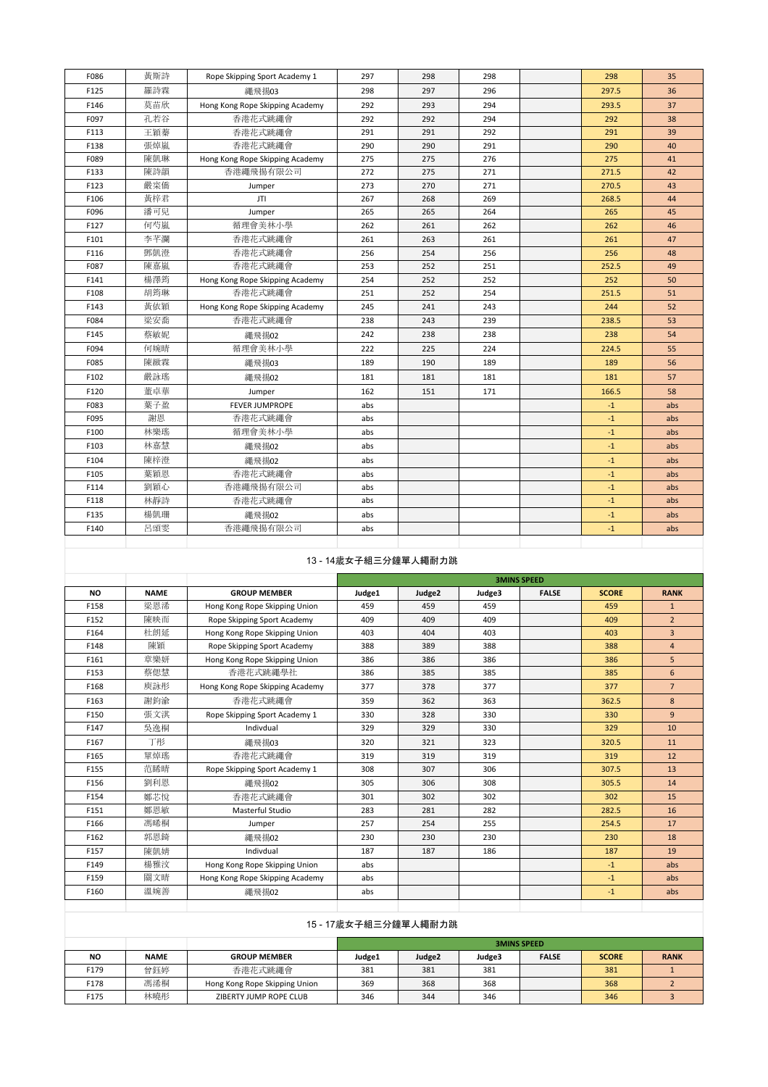| F086 | 黄斯詩 | Rope Skipping Sport Academy 1   | 297 | 298 | 298 | 298   | 35  |
|------|-----|---------------------------------|-----|-----|-----|-------|-----|
| F125 | 羅詩霖 | 繩飛揚03                           | 298 | 297 | 296 | 297.5 | 36  |
| F146 | 莫苗欣 | Hong Kong Rope Skipping Academy | 292 | 293 | 294 | 293.5 | 37  |
| F097 | 孔若谷 | 香港花式跳繩會                         | 292 | 292 | 294 | 292   | 38  |
| F113 | 王穎蓁 | 香港花式跳繩會                         | 291 | 291 | 292 | 291   | 39  |
| F138 | 張焯嵐 | 香港花式跳繩會                         | 290 | 290 | 291 | 290   | 40  |
| F089 | 陳凱琳 | Hong Kong Rope Skipping Academy | 275 | 275 | 276 | 275   | 41  |
| F133 | 陳詩韻 | 香港繩飛揚有限公司                       | 272 | 275 | 271 | 271.5 | 42  |
| F123 | 嚴寀僑 | Jumper                          | 273 | 270 | 271 | 270.5 | 43  |
| F106 | 黄梓君 | JTI                             | 267 | 268 | 269 | 268.5 | 44  |
| F096 | 潘可兒 | Jumper                          | 265 | 265 | 264 | 265   | 45  |
| F127 | 何芍嵐 | 循理會美林小學                         | 262 | 261 | 262 | 262   | 46  |
| F101 | 李芊瀾 | 香港花式跳繩會                         | 261 | 263 | 261 | 261   | 47  |
| F116 | 鄧凱澄 | 香港花式跳繩會                         | 256 | 254 | 256 | 256   | 48  |
| F087 | 陳嘉嵐 | 香港花式跳繩會                         | 253 | 252 | 251 | 252.5 | 49  |
| F141 | 楊澤筠 | Hong Kong Rope Skipping Academy | 254 | 252 | 252 | 252   | 50  |
| F108 | 胡筠琳 | 香港花式跳繩會                         | 251 | 252 | 254 | 251.5 | 51  |
| F143 | 黄依穎 | Hong Kong Rope Skipping Academy | 245 | 241 | 243 | 244   | 52  |
| F084 | 梁安喬 | 香港花式跳繩會                         | 238 | 243 | 239 | 238.5 | 53  |
| F145 | 蔡敏妮 | 繩飛揚02                           | 242 | 238 | 238 | 238   | 54  |
| F094 | 何婉晴 | 循理會美林小學                         | 222 | 225 | 224 | 224.5 | 55  |
| F085 | 陳緻霖 | 繩飛揚03                           | 189 | 190 | 189 | 189   | 56  |
| F102 | 嚴詠瑤 | 繩飛揚02                           | 181 | 181 | 181 | 181   | 57  |
| F120 | 董卓華 | Jumper                          | 162 | 151 | 171 | 166.5 | 58  |
| F083 | 葉子盈 | <b>FEVER JUMPROPE</b>           | abs |     |     | $-1$  | abs |
| F095 | 謝恩  | 香港花式跳繩會                         | abs |     |     | $-1$  | abs |
| F100 | 林樂瑤 | 循理會美林小學                         | abs |     |     | $-1$  | abs |
| F103 | 林嘉慧 | 繩飛揚02                           | abs |     |     | $-1$  | abs |
| F104 | 陳梓澄 | 繩飛揚02                           | abs |     |     | $-1$  | abs |
| F105 | 葉穎恩 | 香港花式跳繩會                         | abs |     |     | $-1$  | abs |
| F114 | 劉穎心 | 香港繩飛揚有限公司                       | abs |     |     | $-1$  | abs |
| F118 | 林靜詩 | 香港花式跳繩會                         | abs |     |     | $-1$  | abs |
| F135 | 楊凱珊 | 繩飛揚02                           | abs |     |     | $-1$  | abs |
| F140 | 呂頌雯 | 香港繩飛揚有限公司                       | abs |     |     | $-1$  | abs |
|      |     |                                 |     |     |     |       |     |

# 13 - 14歲女子組三分鐘單人繩耐力跳

|           |             |                                 |        | <b>3MINS SPEED</b> |        |              |              |                |  |  |
|-----------|-------------|---------------------------------|--------|--------------------|--------|--------------|--------------|----------------|--|--|
| <b>NO</b> | <b>NAME</b> | <b>GROUP MEMBER</b>             | Judge1 | Judge2             | Judge3 | <b>FALSE</b> | <b>SCORE</b> | <b>RANK</b>    |  |  |
| F158      | 梁恩浠         | Hong Kong Rope Skipping Union   | 459    | 459                | 459    |              | 459          | $\mathbf{1}$   |  |  |
| F152      | 陳映而         | Rope Skipping Sport Academy     | 409    | 409                | 409    |              | 409          | $\overline{2}$ |  |  |
| F164      | 杜朗延         | Hong Kong Rope Skipping Union   | 403    | 404                | 403    |              | 403          | $\overline{3}$ |  |  |
| F148      | 陳穎          | Rope Skipping Sport Academy     | 388    | 389                | 388    |              | 388          | $\overline{4}$ |  |  |
| F161      | 章樂妍         | Hong Kong Rope Skipping Union   | 386    | 386                | 386    |              | 386          | 5              |  |  |
| F153      | 蔡偲慧         | 香港花式跳繩學社                        | 386    | 385                | 385    |              | 385          | 6              |  |  |
| F168      | 庾詠彤         | Hong Kong Rope Skipping Academy | 377    | 378                | 377    |              | 377          | $\overline{7}$ |  |  |
| F163      | 謝鈞渝         | 香港花式跳繩會                         | 359    | 362                | 363    |              | 362.5        | 8              |  |  |
| F150      | 張文淇         | Rope Skipping Sport Academy 1   | 330    | 328                | 330    |              | 330          | $\overline{9}$ |  |  |
| F147      | 吳逸桐         | Indivdual                       | 329    | 329                | 330    |              | 329          | 10             |  |  |
| F167      | 丁形          | 繩飛揚03                           | 320    | 321                | 323    |              | 320.5        | 11             |  |  |
| F165      | 單焯瑤         | 香港花式跳繩會                         | 319    | 319                | 319    |              | 319          | 12             |  |  |
| F155      | 范睎晴         | Rope Skipping Sport Academy 1   | 308    | 307                | 306    |              | 307.5        | 13             |  |  |
| F156      | 劉利恩         | 繩飛揚02                           | 305    | 306                | 308    |              | 305.5        | 14             |  |  |
| F154      | 鄭芯悅         | 香港花式跳繩會                         | 301    | 302                | 302    |              | 302          | 15             |  |  |
| F151      | 鄭恩敏         | Masterful Studio                | 283    | 281                | 282    |              | 282.5        | 16             |  |  |
| F166      | 馮晞桐         | Jumper                          | 257    | 254                | 255    |              | 254.5        | 17             |  |  |
| F162      | 郭恩錡         | 繩飛揚02                           | 230    | 230                | 230    |              | 230          | 18             |  |  |
| F157      | 陳凱婧         | Indivdual                       | 187    | 187                | 186    |              | 187          | 19             |  |  |
| F149      | 楊雅汶         | Hong Kong Rope Skipping Union   | abs    |                    |        |              | $-1$         | abs            |  |  |
| F159      | 關文晴         | Hong Kong Rope Skipping Academy | abs    |                    |        |              | $-1$         | abs            |  |  |
| F160      | 溫婉善         | 繩飛揚02                           | abs    |                    |        |              | $-1$         | abs            |  |  |
|           |             |                                 |        |                    |        |              |              |                |  |  |

| 15 - 17歲女子組三分鐘單人繩耐力跳 |             |                               |        |                    |        |              |              |             |  |  |
|----------------------|-------------|-------------------------------|--------|--------------------|--------|--------------|--------------|-------------|--|--|
|                      |             |                               |        | <b>3MINS SPEED</b> |        |              |              |             |  |  |
| <b>NO</b>            | <b>NAME</b> | <b>GROUP MEMBER</b>           | Judge1 | Judge <sub>2</sub> | Judge3 | <b>FALSE</b> | <b>SCORE</b> | <b>RANK</b> |  |  |
| F179                 | 曾鈺婷         | 香港花式跳繩會                       | 381    | 381                | 381    |              | 381          |             |  |  |
| F178                 | 馮浠桐         | Hong Kong Rope Skipping Union | 369    | 368                | 368    |              | 368          |             |  |  |
| F175                 | 林曉彤         | ZIBERTY JUMP ROPE CLUB        | 346    | 344                | 346    |              | 346          |             |  |  |
|                      |             |                               |        |                    |        |              |              |             |  |  |